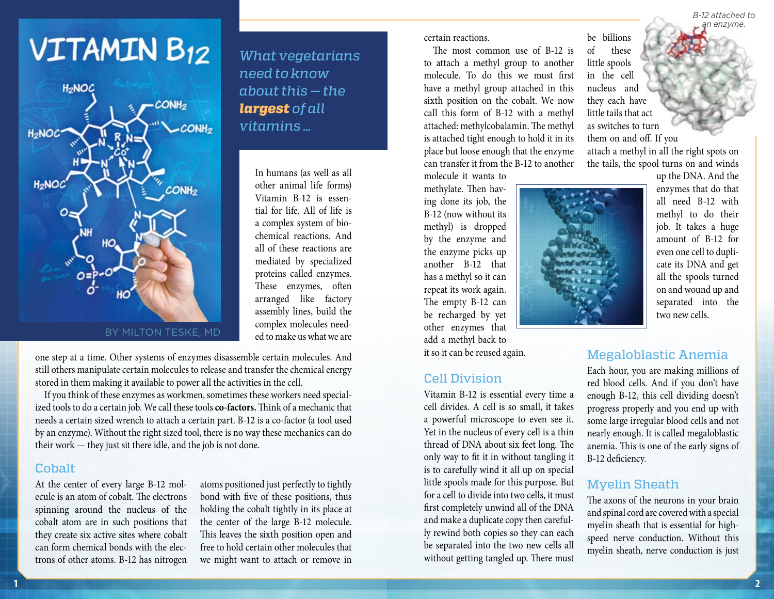# **VITAMIN B12**



*What vegetarians need to know about this — the largest of all vitamins …*

> In humans (as well as all other animal life forms) Vitamin B-12 is essential for life. All of life is a complex system of biochemical reactions. And all of these reactions are mediated by specialized proteins called enzymes. These enzymes, often arranged like factory assembly lines, build the complex molecules needed to make us what we are

one step at a time. Other systems of enzymes disassemble certain molecules. And still others manipulate certain molecules to release and transfer the chemical energy stored in them making it available to power all the activities in the cell.

If you think of these enzymes as workmen, sometimes these workers need specialized tools to do a certain job. We call these tools **co-factors.** Think of a mechanic that needs a certain sized wrench to attach a certain part. B-12 is a co-factor (a tool used by an enzyme). Without the right sized tool, there is no way these mechanics can do their work — they just sit there idle, and the job is not done.

#### Cobalt

At the center of every large B-12 molecule is an atom of cobalt. The electrons spinning around the nucleus of the cobalt atom are in such positions that they create six active sites where cobalt can form chemical bonds with the electrons of other atoms. B-12 has nitrogen

atoms positioned just perfectly to tightly bond with five of these positions, thus holding the cobalt tightly in its place at the center of the large B-12 molecule. This leaves the sixth position open and free to hold certain other molecules that we might want to attach or remove in certain reactions.

The most common use of B-12 is to attach a methyl group to another molecule. To do this we must first have a methyl group attached in this sixth position on the cobalt. We now call this form of B-12 with a methyl attached: methylcobalamin. The methyl is attached tight enough to hold it in its place but loose enough that the enzyme can transfer it from the B-12 to another

molecule it wants to methylate. Then having done its job, the B-12 (now without its methyl) is dropped by the enzyme and the enzyme picks up another B-12 that has a methyl so it can repeat its work again. The empty B-12 can be recharged by yet other enzymes that add a methyl back to it so it can be reused again.

#### Cell Division

Vitamin B-12 is essential every time a cell divides. A cell is so small, it takes a powerful microscope to even see it. Yet in the nucleus of every cell is a thin thread of DNA about six feet long. The only way to fit it in without tangling it is to carefully wind it all up on special little spools made for this purpose. But for a cell to divide into two cells, it must first completely unwind all of the DNA and make a duplicate copy then carefully rewind both copies so they can each be separated into the two new cells all without getting tangled up. There must

be billions of these little spools in the cell nucleus and they each have little tails that act as switches to turn them on and off. If you

attach a methyl in all the right spots on the tails, the spool turns on and winds



up the DNA. And the enzymes that do that all need B-12 with methyl to do their job. It takes a huge amount of B-12 for even one cell to duplicate its DNA and get all the spools turned on and wound up and separated into the two new cells.

# Megaloblastic Anemia

Each hour, you are making millions of red blood cells. And if you don't have enough B-12, this cell dividing doesn't progress properly and you end up with some large irregular blood cells and not nearly enough. It is called megaloblastic anemia. This is one of the early signs of B-12 deficiency.

#### Myelin Sheath

The axons of the neurons in your brain and spinal cord are covered with a special myelin sheath that is essential for highspeed nerve conduction. Without this myelin sheath, nerve conduction is just

*B-12 attached to an enzyme.*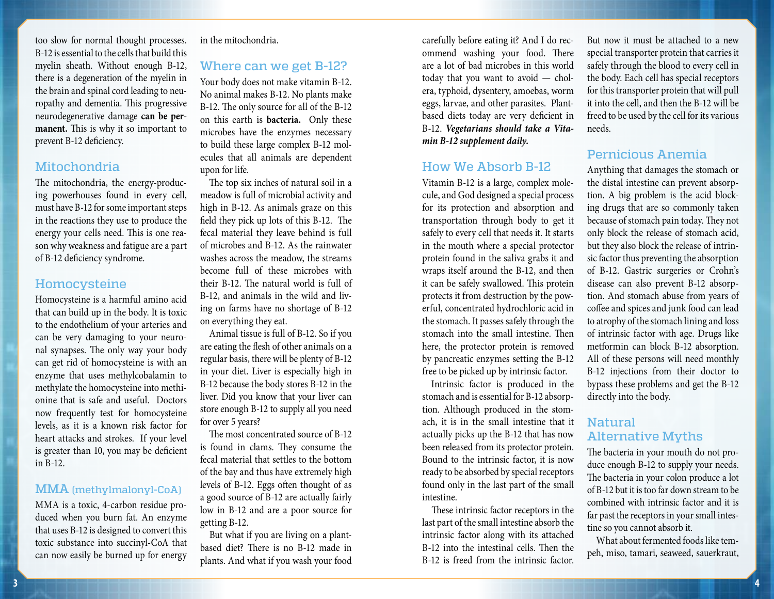too slow for normal thought processes. B-12 is essential to the cells that build this myelin sheath. Without enough B-12, there is a degeneration of the myelin in the brain and spinal cord leading to neuropathy and dementia. This progressive neurodegenerative damage **can be permanent.** This is why it so important to prevent B-12 deficiency.

## Mitochondria

The mitochondria, the energy-producing powerhouses found in every cell, must have B-12 for some important steps in the reactions they use to produce the energy your cells need. This is one reason why weakness and fatigue are a part of B-12 deficiency syndrome.

#### Homocysteine

Homocysteine is a harmful amino acid that can build up in the body. It is toxic to the endothelium of your arteries and can be very damaging to your neuronal synapses. The only way your body can get rid of homocysteine is with an enzyme that uses methylcobalamin to methylate the homocysteine into methionine that is safe and useful. Doctors now frequently test for homocysteine levels, as it is a known risk factor for heart attacks and strokes. If your level is greater than 10, you may be deficient in B-12.

#### MMA (methylmalonyl-CoA)

MMA is a toxic, 4-carbon residue produced when you burn fat. An enzyme that uses B-12 is designed to convert this toxic substance into succinyl-CoA that can now easily be burned up for energy in the mitochondria.

#### Where can we get B-12?

Your body does not make vitamin B-12. No animal makes B-12. No plants make B-12. The only source for all of the B-12 on this earth is **bacteria.** Only these microbes have the enzymes necessary to build these large complex B-12 molecules that all animals are dependent upon for life.

The top six inches of natural soil in a meadow is full of microbial activity and high in B-12. As animals graze on this field they pick up lots of this B-12. The fecal material they leave behind is full of microbes and B-12. As the rainwater washes across the meadow, the streams become full of these microbes with their B-12. The natural world is full of B-12, and animals in the wild and living on farms have no shortage of B-12 on everything they eat.

Animal tissue is full of B-12. So if you are eating the flesh of other animals on a regular basis, there will be plenty of B-12 in your diet. Liver is especially high in B-12 because the body stores B-12 in the liver. Did you know that your liver can store enough B-12 to supply all you need for over 5 years?

The most concentrated source of B-12 is found in clams. They consume the fecal material that settles to the bottom of the bay and thus have extremely high levels of B-12. Eggs often thought of as a good source of B-12 are actually fairly low in B-12 and are a poor source for getting B-12.

But what if you are living on a plantbased diet? There is no B-12 made in plants. And what if you wash your food

carefully before eating it? And I do recommend washing your food. There are a lot of bad microbes in this world today that you want to avoid — cholera, typhoid, dysentery, amoebas, worm eggs, larvae, and other parasites. Plantbased diets today are very deficient in B-12. *Vegetarians should take a Vitamin B-12 supplement daily.*

#### How We Absorb B-12

Vitamin B-12 is a large, complex molecule, and God designed a special process for its protection and absorption and transportation through body to get it safely to every cell that needs it. It starts in the mouth where a special protector protein found in the saliva grabs it and wraps itself around the B-12, and then it can be safely swallowed. This protein protects it from destruction by the powerful, concentrated hydrochloric acid in the stomach. It passes safely through the stomach into the small intestine. Then here, the protector protein is removed by pancreatic enzymes setting the B-12 free to be picked up by intrinsic factor.

Intrinsic factor is produced in the stomach and is essential for B-12 absorption. Although produced in the stomach, it is in the small intestine that it actually picks up the B-12 that has now been released from its protector protein. Bound to the intrinsic factor, it is now ready to be absorbed by special receptors found only in the last part of the small intestine.

These intrinsic factor receptors in the last part of the small intestine absorb the intrinsic factor along with its attached B-12 into the intestinal cells. Then the B-12 is freed from the intrinsic factor.

But now it must be attached to a new special transporter protein that carries it safely through the blood to every cell in the body. Each cell has special receptors for this transporter protein that will pull it into the cell, and then the B-12 will be freed to be used by the cell for its various needs.

# Pernicious Anemia

Anything that damages the stomach or the distal intestine can prevent absorption. A big problem is the acid blocking drugs that are so commonly taken because of stomach pain today. They not only block the release of stomach acid, but they also block the release of intrinsic factor thus preventing the absorption of B-12. Gastric surgeries or Crohn's disease can also prevent B-12 absorption. And stomach abuse from years of coffee and spices and junk food can lead to atrophy of the stomach lining and loss of intrinsic factor with age. Drugs like metformin can block B-12 absorption. All of these persons will need monthly B-12 injections from their doctor to bypass these problems and get the B-12 directly into the body.

# Natural Alternative Myths

The bacteria in your mouth do not produce enough B-12 to supply your needs. The bacteria in your colon produce a lot of B-12 but it is too far down stream to be combined with intrinsic factor and it is far past the receptors in your small intestine so you cannot absorb it.

What about fermented foods like tempeh, miso, tamari, seaweed, sauerkraut,